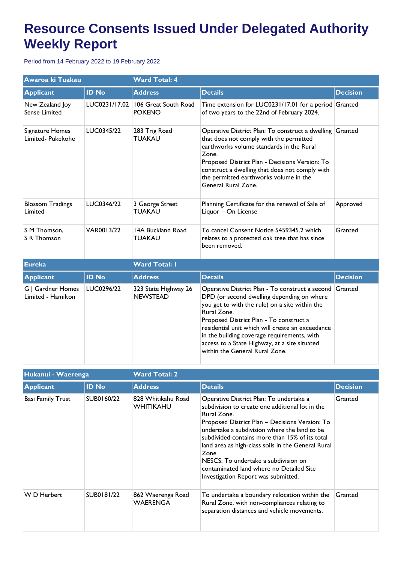## **Resource Consents Issued Under Delegated Authority Weekly Report**

Period from 14 February 2022 to 19 February 2022

| Awaroa ki Tuakau                        |               | <b>Ward Total: 4</b>                    |                                                                                                                                                                                                                                                                                                                                                                                                 |                 |  |
|-----------------------------------------|---------------|-----------------------------------------|-------------------------------------------------------------------------------------------------------------------------------------------------------------------------------------------------------------------------------------------------------------------------------------------------------------------------------------------------------------------------------------------------|-----------------|--|
| <b>Applicant</b>                        | <b>ID No</b>  | <b>Address</b>                          | <b>Details</b>                                                                                                                                                                                                                                                                                                                                                                                  | <b>Decision</b> |  |
| New Zealand Joy<br>Sense Limited        | LUC0231/17.02 | 106 Great South Road<br><b>POKENO</b>   | Time extension for LUC0231/17.01 for a period Granted<br>of two years to the 22nd of February 2024.                                                                                                                                                                                                                                                                                             |                 |  |
| Signature Homes<br>Limited- Pukekohe    | LUC0345/22    | 283 Trig Road<br><b>TUAKAU</b>          | Operative District Plan: To construct a dwelling Granted<br>that does not comply with the permitted<br>earthworks volume standards in the Rural<br>Zone.<br>Proposed District Plan - Decisions Version: To<br>construct a dwelling that does not comply with<br>the permitted earthworks volume in the<br>General Rural Zone.                                                                   |                 |  |
| <b>Blossom Tradings</b><br>Limited      | LUC0346/22    | 3 George Street<br><b>TUAKAU</b>        | Planning Certificate for the renewal of Sale of<br>Liquor - On License                                                                                                                                                                                                                                                                                                                          | Approved        |  |
| S M Thomson,<br>S R Thomson             | VAR0013/22    | 14A Buckland Road<br>TUAKAU             | To cancel Consent Notice 5459345.2 which<br>relates to a protected oak tree that has since<br>been removed.                                                                                                                                                                                                                                                                                     | Granted         |  |
| <b>Eureka</b>                           |               | <b>Ward Total: I</b>                    |                                                                                                                                                                                                                                                                                                                                                                                                 |                 |  |
| <b>Applicant</b>                        | <b>ID No</b>  | <b>Address</b>                          | <b>Details</b>                                                                                                                                                                                                                                                                                                                                                                                  | <b>Decision</b> |  |
| G J Gardner Homes<br>Limited - Hamilton | LUC0296/22    | 323 State Highway 26<br><b>NEWSTEAD</b> | Operative District Plan - To construct a second<br>DPD (or second dwelling depending on where<br>you get to with the rule) on a site within the<br>Rural Zone.<br>Proposed District Plan - To construct a<br>residential unit which will create an exceedance<br>in the building coverage requirements, with<br>access to a State Highway, at a site situated<br>within the General Rural Zone. | Granted         |  |

| Hukanui - Waerenga |              | <b>Ward Total: 2</b>            |                                                                                                                                                                                                                                                                                                                                                                                                                                                         |                 |  |
|--------------------|--------------|---------------------------------|---------------------------------------------------------------------------------------------------------------------------------------------------------------------------------------------------------------------------------------------------------------------------------------------------------------------------------------------------------------------------------------------------------------------------------------------------------|-----------------|--|
| <b>Applicant</b>   | <b>ID No</b> | <b>Address</b>                  | <b>Details</b>                                                                                                                                                                                                                                                                                                                                                                                                                                          | <b>Decision</b> |  |
| Basi Family Trust  | SUB0160/22   | 828 Whitikahu Road<br>WHITIKAHU | Operative District Plan: To undertake a<br>subdivision to create one additional lot in the<br>Rural Zone.<br>Proposed District Plan - Decisions Version: To<br>undertake a subdivision where the land to be<br>subdivided contains more than 15% of its total<br>land area as high-class soils in the General Rural<br>Zone.<br>NESCS: To undertake a subdivision on<br>contaminated land where no Detailed Site<br>Investigation Report was submitted. | Granted         |  |
| W D Herbert        | SUB0181/22   | 862 Waerenga Road<br>WAERENGA   | To undertake a boundary relocation within the<br>Rural Zone, with non-compliances relating to<br>separation distances and vehicle movements.                                                                                                                                                                                                                                                                                                            | Granted         |  |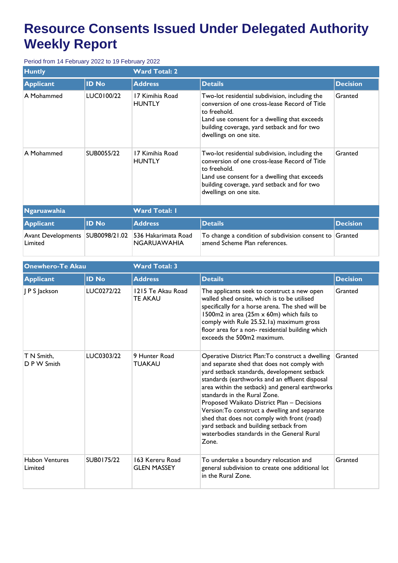## **Resource Consents Issued Under Delegated Authority Weekly Report**

Period from 14 February 2022 to 19 February 2022

| <b>Huntly</b>                        |               | <b>Ward Total: 2</b>                      |                                                                                                                                                                                                                                          |                 |  |
|--------------------------------------|---------------|-------------------------------------------|------------------------------------------------------------------------------------------------------------------------------------------------------------------------------------------------------------------------------------------|-----------------|--|
| <b>Applicant</b>                     | <b>ID No</b>  | <b>Address</b>                            | <b>Details</b>                                                                                                                                                                                                                           | <b>Decision</b> |  |
| A Mohammed                           | LUC0100/22    | 17 Kimihia Road<br><b>HUNTLY</b>          | Two-lot residential subdivision, including the<br>conversion of one cross-lease Record of Title<br>to freehold.<br>Land use consent for a dwelling that exceeds<br>building coverage, yard setback and for two<br>dwellings on one site. | Granted         |  |
| A Mohammed                           | SUB0055/22    | 17 Kimihia Road<br><b>HUNTLY</b>          | Two-lot residential subdivision, including the<br>conversion of one cross-lease Record of Title<br>to freehold.<br>Land use consent for a dwelling that exceeds<br>building coverage, yard setback and for two<br>dwellings on one site. | Granted         |  |
| <b>Ngaruawahia</b>                   |               | <b>Ward Total: I</b>                      |                                                                                                                                                                                                                                          |                 |  |
| <b>Applicant</b>                     | <b>ID No</b>  | <b>Address</b>                            | <b>Details</b>                                                                                                                                                                                                                           | <b>Decision</b> |  |
| <b>Avant Developments</b><br>Limited | SUB0098/21.02 | 536 Hakarimata Road<br><b>NGARUAWAHIA</b> | To change a condition of subdivision consent to<br>amend Scheme Plan references.                                                                                                                                                         | Granted         |  |

| <b>Onewhero-Te Akau</b>          |              | <b>Ward Total: 3</b>                  |                                                                                                                                                                                                                                                                                                                                                                                                                                                                                                                                    |                 |  |
|----------------------------------|--------------|---------------------------------------|------------------------------------------------------------------------------------------------------------------------------------------------------------------------------------------------------------------------------------------------------------------------------------------------------------------------------------------------------------------------------------------------------------------------------------------------------------------------------------------------------------------------------------|-----------------|--|
| <b>Applicant</b>                 | <b>ID No</b> | <b>Address</b>                        | <b>Details</b>                                                                                                                                                                                                                                                                                                                                                                                                                                                                                                                     | <b>Decision</b> |  |
| J P S Jackson                    | LUC0272/22   | 1215 Te Akau Road<br><b>TE AKAU</b>   | The applicants seek to construct a new open<br>walled shed onsite, which is to be utilised<br>specifically for a horse arena. The shed will be<br>1500m2 in area (25m x 60m) which fails to<br>comply with Rule 25.52.1a) maximum gross<br>floor area for a non- residential building which<br>exceeds the 500m2 maximum.                                                                                                                                                                                                          | Granted         |  |
| T N Smith,<br>D P W Smith        | LUC0303/22   | 9 Hunter Road<br><b>TUAKAU</b>        | Operative District Plan: To construct a dwelling<br>and separate shed that does not comply with<br>yard setback standards, development setback<br>standards (earthworks and an effluent disposal<br>area within the setback) and general earthworks<br>standards in the Rural Zone.<br>Proposed Waikato District Plan - Decisions<br>Version: To construct a dwelling and separate<br>shed that does not comply with front (road)<br>yard setback and building setback from<br>waterbodies standards in the General Rural<br>Zone. | Granted         |  |
| <b>Habon Ventures</b><br>Limited | SUB0175/22   | 163 Kereru Road<br><b>GLEN MASSEY</b> | To undertake a boundary relocation and<br>general subdivision to create one additional lot<br>in the Rural Zone.                                                                                                                                                                                                                                                                                                                                                                                                                   | Granted         |  |